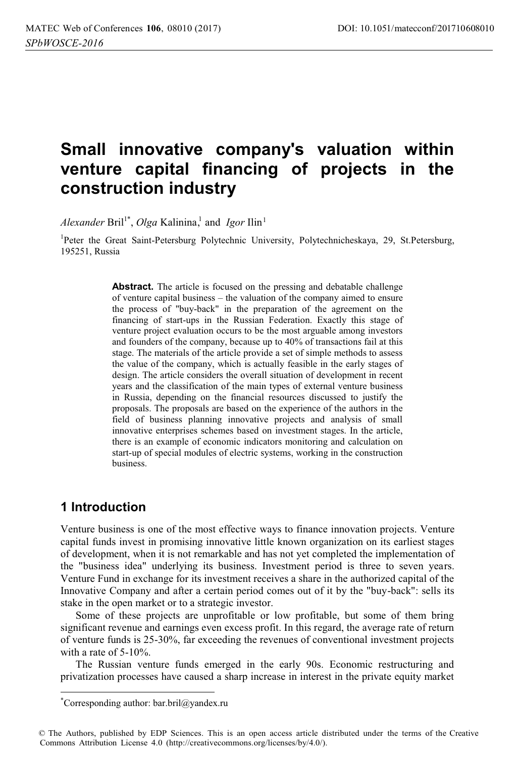# **Small innovative company's valuation within venture capital financing of projects in the construction industry**

*Alexander* Bril<sup>1\*</sup>, *Olga* Kalinina,<sup>1</sup> and *Igor* Ilin<sup>1</sup>

<sup>1</sup>Peter the Great Saint-Petersburg Polytechnic University, Polytechnicheskaya, 29, St.Petersburg, 195251, Russia

> **Abstract.** The article is focused on the pressing and debatable challenge of venture capital business – the valuation of the company aimed to ensure the process of "buy-back" in the preparation of the agreement on the financing of start-ups in the Russian Federation. Exactly this stage of venture project evaluation occurs to be the most arguable among investors and founders of the company, because up to 40% of transactions fail at this stage. The materials of the article provide a set of simple methods to assess the value of the company, which is actually feasible in the early stages of design. The article considers the overall situation of development in recent years and the classification of the main types of external venture business in Russia, depending on the financial resources discussed to justify the proposals. The proposals are based on the experience of the authors in the field of business planning innovative projects and analysis of small innovative enterprises schemes based on investment stages. In the article, there is an example of economic indicators monitoring and calculation on start-up of special modules of electric systems, working in the construction business.

## **1 Introduction**

 $\overline{a}$ 

Venture business is one of the most effective ways to finance innovation projects. Venture capital funds invest in promising innovative little known organization on its earliest stages of development, when it is not remarkable and has not yet completed the implementation of the "business idea" underlying its business. Investment period is three to seven years. Venture Fund in exchange for its investment receives a share in the authorized capital of the Innovative Company and after a certain period comes out of it by the "buy-back": sells its stake in the open market or to a strategic investor.

Some of these projects are unprofitable or low profitable, but some of them bring significant revenue and earnings even excess profit. In this regard, the average rate of return of venture funds is 25-30%, far exceeding the revenues of conventional investment projects with a rate of 5-10%.

The Russian venture funds emerged in the early 90s. Economic restructuring and privatization processes have caused a sharp increase in interest in the private equity market

<sup>\*</sup> Corresponding author: bar.bril@yandex.ru

<sup>©</sup> The Authors, published by EDP Sciences. This is an open access article distributed under the terms of the Creative Commons Attribution License 4.0 (http://creativecommons.org/licenses/by/4.0/).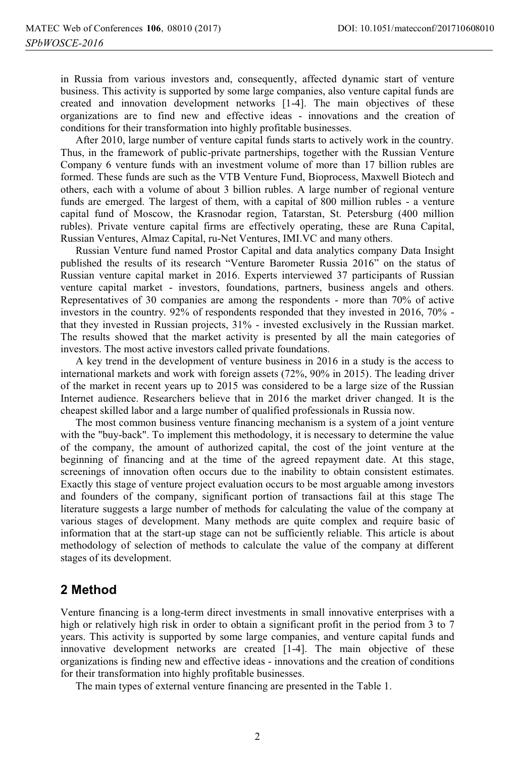in Russia from various investors and, consequently, affected dynamic start of venture business. This activity is supported by some large companies, also venture capital funds are created and innovation development networks [1-4]. The main objectives of these organizations are to find new and effective ideas - innovations and the creation of conditions for their transformation into highly profitable businesses.

After 2010, large number of venture capital funds starts to actively work in the country. Thus, in the framework of public-private partnerships, together with the Russian Venture Company 6 venture funds with an investment volume of more than 17 billion rubles are formed. These funds are such as the VTB Venture Fund, Bioprocess, Maxwell Biotech and others, each with a volume of about 3 billion rubles. A large number of regional venture funds are emerged. The largest of them, with a capital of 800 million rubles - a venture capital fund of Moscow, the Krasnodar region, Tatarstan, St. Petersburg (400 million rubles). Private venture capital firms are effectively operating, these are Runa Capital, Russian Ventures, Almaz Capital, ru-Net Ventures, IMI.VC and many others.

Russian Venture fund named Prostor Capital and data analytics company Data Insight published the results of its research "Venture Barometer Russia 2016" on the status of Russian venture capital market in 2016. Experts interviewed 37 participants of Russian venture capital market - investors, foundations, partners, business angels and others. Representatives of 30 companies are among the respondents - more than 70% of active investors in the country. 92% of respondents responded that they invested in 2016, 70% that they invested in Russian projects, 31% - invested exclusively in the Russian market. The results showed that the market activity is presented by all the main categories of investors. The most active investors called private foundations.

A key trend in the development of venture business in 2016 in a study is the access to international markets and work with foreign assets (72%, 90% in 2015). The leading driver of the market in recent years up to 2015 was considered to be a large size of the Russian Internet audience. Researchers believe that in 2016 the market driver changed. It is the cheapest skilled labor and a large number of qualified professionals in Russia now.

The most common business venture financing mechanism is a system of a joint venture with the "buy-back". To implement this methodology, it is necessary to determine the value of the company, the amount of authorized capital, the cost of the joint venture at the beginning of financing and at the time of the agreed repayment date. At this stage, screenings of innovation often occurs due to the inability to obtain consistent estimates. Exactly this stage of venture project evaluation occurs to be most arguable among investors and founders of the company, significant portion of transactions fail at this stage The literature suggests a large number of methods for calculating the value of the company at various stages of development. Many methods are quite complex and require basic of information that at the start-up stage can not be sufficiently reliable. This article is about methodology of selection of methods to calculate the value of the company at different stages of its development.

#### **2 Method**

Venture financing is a long-term direct investments in small innovative enterprises with a high or relatively high risk in order to obtain a significant profit in the period from 3 to 7 years. This activity is supported by some large companies, and venture capital funds and innovative development networks are created [1-4]. The main objective of these organizations is finding new and effective ideas - innovations and the creation of conditions for their transformation into highly profitable businesses.

The main types of external venture financing are presented in the Table 1.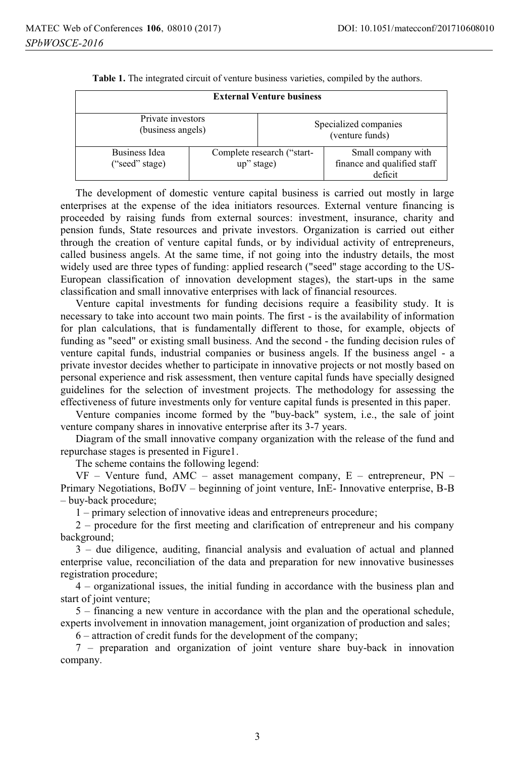| <b>External Venture business</b>       |            |                                          |                                                              |  |  |
|----------------------------------------|------------|------------------------------------------|--------------------------------------------------------------|--|--|
| Private investors<br>(business angels) |            | Specialized companies<br>(venture funds) |                                                              |  |  |
| Business Idea<br>("seed" stage)        | up" stage) | Complete research ("start-               | Small company with<br>finance and qualified staff<br>deficit |  |  |

**Table 1.** The integrated circuit of venture business varieties, compiled by the authors.

The development of domestic venture capital business is carried out mostly in large enterprises at the expense of the idea initiators resources. External venture financing is proceeded by raising funds from external sources: investment, insurance, charity and pension funds, State resources and private investors. Organization is carried out either through the creation of venture capital funds, or by individual activity of entrepreneurs, called business angels. At the same time, if not going into the industry details, the most widely used are three types of funding: applied research ("seed" stage according to the US-European classification of innovation development stages), the start-ups in the same classification and small innovative enterprises with lack of financial resources.

Venture capital investments for funding decisions require a feasibility study. It is necessary to take into account two main points. The first - is the availability of information for plan calculations, that is fundamentally different to those, for example, objects of funding as "seed" or existing small business. And the second - the funding decision rules of venture capital funds, industrial companies or business angels. If the business angel - a private investor decides whether to participate in innovative projects or not mostly based on personal experience and risk assessment, then venture capital funds have specially designed guidelines for the selection of investment projects. The methodology for assessing the effectiveness of future investments only for venture capital funds is presented in this paper.

Venture companies income formed by the "buy-back" system, i.e., the sale of joint venture company shares in innovative enterprise after its 3-7 years.

Diagram of the small innovative company organization with the release of the fund and repurchase stages is presented in Figure1.

The scheme contains the following legend:

VF – Venture fund, AMC – asset management company, E – entrepreneur, PN – Primary Negotiations, BofJV – beginning of joint venture, InE- Innovative enterprise, B-B – buy-back procedure;

1 – primary selection of innovative ideas and entrepreneurs procedure;

2 – procedure for the first meeting and clarification of entrepreneur and his company background;

3 – due diligence, auditing, financial analysis and evaluation of actual and planned enterprise value, reconciliation of the data and preparation for new innovative businesses registration procedure;

4 – organizational issues, the initial funding in accordance with the business plan and start of joint venture;

5 – financing a new venture in accordance with the plan and the operational schedule, experts involvement in innovation management, joint organization of production and sales;

6 – attraction of credit funds for the development of the company;

7 – preparation and organization of joint venture share buy-back in innovation company.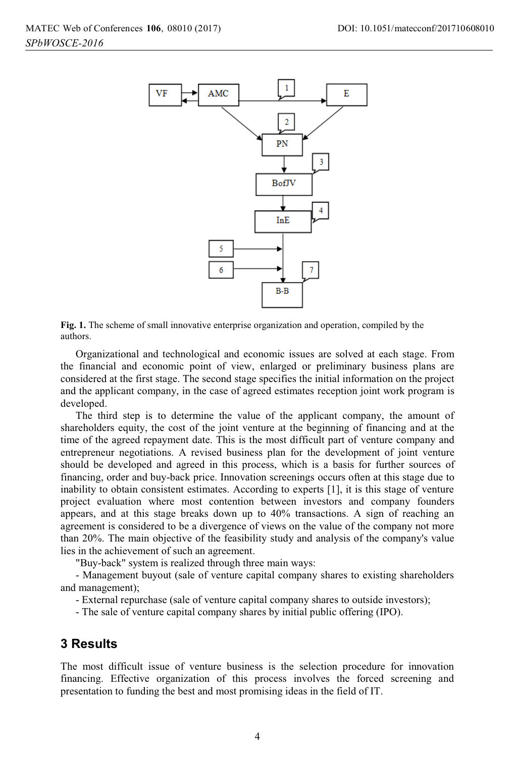

**Fig. 1.** The scheme of small innovative enterprise organization and operation, compiled by the authors.

Organizational and technological and economic issues are solved at each stage. From the financial and economic point of view, enlarged or preliminary business plans are considered at the first stage. The second stage specifies the initial information on the project and the applicant company, in the case of agreed estimates reception joint work program is developed.

The third step is to determine the value of the applicant company, the amount of shareholders equity, the cost of the joint venture at the beginning of financing and at the time of the agreed repayment date. This is the most difficult part of venture company and entrepreneur negotiations. A revised business plan for the development of joint venture should be developed and agreed in this process, which is a basis for further sources of financing, order and buy-back price. Innovation screenings occurs often at this stage due to inability to obtain consistent estimates. According to experts [1], it is this stage of venture project evaluation where most contention between investors and company founders appears, and at this stage breaks down up to 40% transactions. A sign of reaching an agreement is considered to be a divergence of views on the value of the company not more than 20%. The main objective of the feasibility study and analysis of the company's value lies in the achievement of such an agreement.

"Buy-back" system is realized through three main ways:

- Management buyout (sale of venture capital company shares to existing shareholders and management);

- External repurchase (sale of venture capital company shares to outside investors);

- The sale of venture capital company shares by initial public offering (IPO).

### **3 Results**

The most difficult issue of venture business is the selection procedure for innovation financing. Effective organization of this process involves the forced screening and presentation to funding the best and most promising ideas in the field of IT.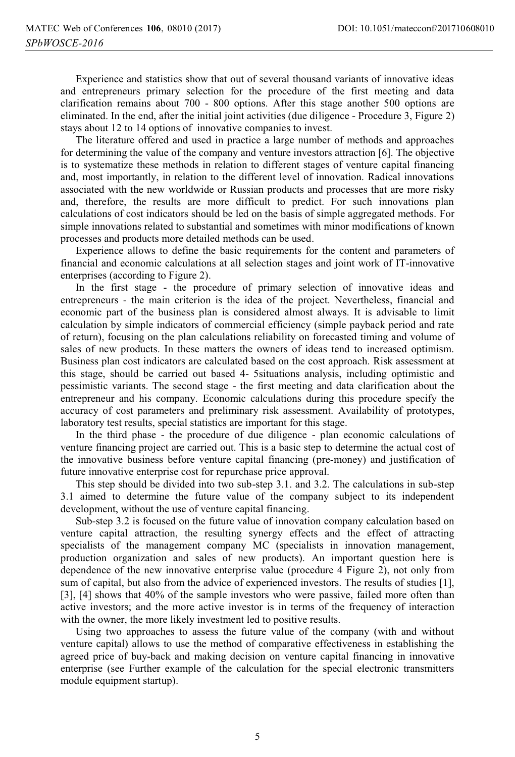Experience and statistics show that out of several thousand variants of innovative ideas and entrepreneurs primary selection for the procedure of the first meeting and data clarification remains about 700 - 800 options. After this stage another 500 options are eliminated. In the end, after the initial joint activities (due diligence - Procedure 3, Figure 2) stays about 12 to 14 options of innovative companies to invest.

The literature offered and used in practice a large number of methods and approaches for determining the value of the company and venture investors attraction [6]. The objective is to systematize these methods in relation to different stages of venture capital financing and, most importantly, in relation to the different level of innovation. Radical innovations associated with the new worldwide or Russian products and processes that are more risky and, therefore, the results are more difficult to predict. For such innovations plan calculations of cost indicators should be led on the basis of simple aggregated methods. For simple innovations related to substantial and sometimes with minor modifications of known processes and products more detailed methods can be used.

Experience allows to define the basic requirements for the content and parameters of financial and economic calculations at all selection stages and joint work of IT-innovative enterprises (according to Figure 2).

In the first stage - the procedure of primary selection of innovative ideas and entrepreneurs - the main criterion is the idea of the project. Nevertheless, financial and economic part of the business plan is considered almost always. It is advisable to limit calculation by simple indicators of commercial efficiency (simple payback period and rate of return), focusing on the plan calculations reliability on forecasted timing and volume of sales of new products. In these matters the owners of ideas tend to increased optimism. Business plan cost indicators are calculated based on the cost approach. Risk assessment at this stage, should be carried out based 4- 5situations analysis, including optimistic and pessimistic variants. The second stage - the first meeting and data clarification about the entrepreneur and his company. Economic calculations during this procedure specify the accuracy of cost parameters and preliminary risk assessment. Availability of prototypes, laboratory test results, special statistics are important for this stage.

In the third phase - the procedure of due diligence - plan economic calculations of venture financing project are carried out. This is a basic step to determine the actual cost of the innovative business before venture capital financing (pre-money) and justification of future innovative enterprise cost for repurchase price approval.

This step should be divided into two sub-step 3.1. and 3.2. The calculations in sub-step 3.1 aimed to determine the future value of the company subject to its independent development, without the use of venture capital financing.

Sub-step 3.2 is focused on the future value of innovation company calculation based on venture capital attraction, the resulting synergy effects and the effect of attracting specialists of the management company MC (specialists in innovation management, production organization and sales of new products). An important question here is dependence of the new innovative enterprise value (procedure 4 Figure 2), not only from sum of capital, but also from the advice of experienced investors. The results of studies [1], [3], [4] shows that 40% of the sample investors who were passive, failed more often than active investors; and the more active investor is in terms of the frequency of interaction with the owner, the more likely investment led to positive results.

Using two approaches to assess the future value of the company (with and without venture capital) allows to use the method of comparative effectiveness in establishing the agreed price of buy-back and making decision on venture capital financing in innovative enterprise (see Further example of the calculation for the special electronic transmitters module equipment startup).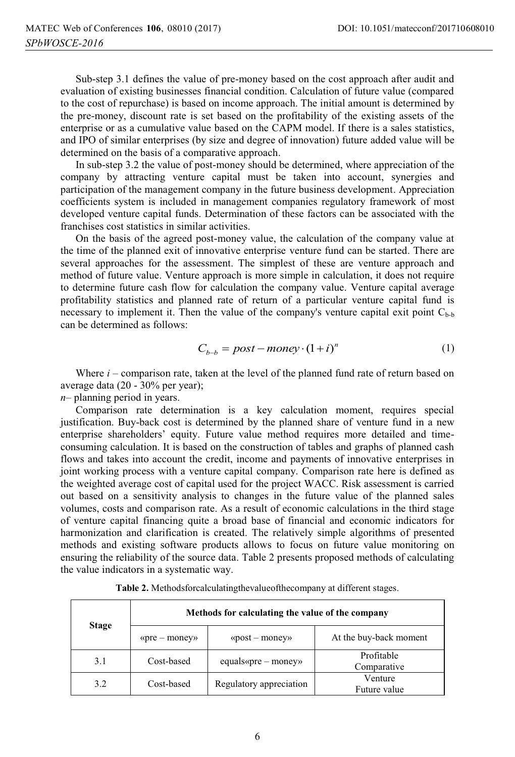Sub-step 3.1 defines the value of pre-money based on the cost approach after audit and evaluation of existing businesses financial condition. Calculation of future value (compared to the cost of repurchase) is based on income approach. The initial amount is determined by the pre-money, discount rate is set based on the profitability of the existing assets of the enterprise or as a cumulative value based on the CAPM model. If there is a sales statistics, and IPO of similar enterprises (by size and degree of innovation) future added value will be determined on the basis of a comparative approach.

In sub-step 3.2 the value of post-money should be determined, where appreciation of the company by attracting venture capital must be taken into account, synergies and participation of the management company in the future business development. Appreciation coefficients system is included in management companies regulatory framework of most developed venture capital funds. Determination of these factors can be associated with the franchises cost statistics in similar activities.

On the basis of the agreed post-money value, the calculation of the company value at the time of the planned exit of innovative enterprise venture fund can be started. There are several approaches for the assessment. The simplest of these are venture approach and method of future value. Venture approach is more simple in calculation, it does not require to determine future cash flow for calculation the company value. Venture capital average profitability statistics and planned rate of return of a particular venture capital fund is necessary to implement it. Then the value of the company's venture capital exit point  $C_{b-b}$ can be determined as follows:

$$
C_{b-b} = post - money \cdot (1+i)^n \tag{1}
$$

Where *i* – comparison rate, taken at the level of the planned fund rate of return based on average data (20 - 30% per year);

*n*– planning period in years.

Comparison rate determination is a key calculation moment, requires special justification. Buy-back cost is determined by the planned share of venture fund in a new enterprise shareholders' equity. Future value method requires more detailed and timeconsuming calculation. It is based on the construction of tables and graphs of planned cash flows and takes into account the credit, income and payments of innovative enterprises in joint working process with a venture capital company. Comparison rate here is defined as the weighted average cost of capital used for the project WACC. Risk assessment is carried out based on a sensitivity analysis to changes in the future value of the planned sales volumes, costs and comparison rate. As a result of economic calculations in the third stage of venture capital financing quite a broad base of financial and economic indicators for harmonization and clarification is created. The relatively simple algorithms of presented methods and existing software products allows to focus on future value monitoring on ensuring the reliability of the source data. Table 2 presents proposed methods of calculating the value indicators in a systematic way.

|              | Methods for calculating the value of the company |                                            |                           |  |  |
|--------------|--------------------------------------------------|--------------------------------------------|---------------------------|--|--|
| <b>Stage</b> | $\langle \text{pre}-\text{money} \rangle$        | $\langle \text{post}-\text{money} \rangle$ | At the buy-back moment    |  |  |
| 3.1          | Cost-based                                       | equals $\varphi$ re – money»               | Profitable<br>Comparative |  |  |
| 3.2          | Cost-based                                       | Regulatory appreciation                    | Venture<br>Future value   |  |  |

**Table 2.** Methodsforcalculatingthevalueofthecompany at different stages.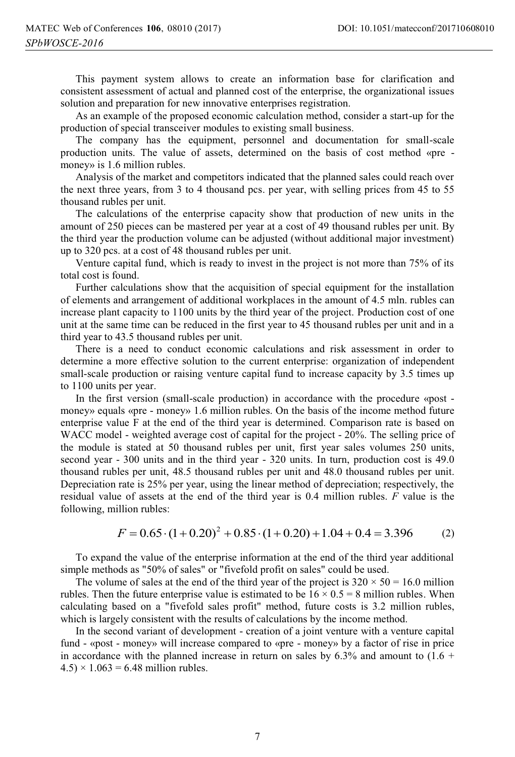This payment system allows to create an information base for clarification and consistent assessment of actual and planned cost of the enterprise, the organizational issues solution and preparation for new innovative enterprises registration.

As an example of the proposed economic calculation method, consider a start-up for the production of special transceiver modules to existing small business.

The company has the equipment, personnel and documentation for small-scale production units. The value of assets, determined on the basis of cost method «pre money» is 1.6 million rubles.

Analysis of the market and competitors indicated that the planned sales could reach over the next three years, from 3 to 4 thousand pcs. per year, with selling prices from 45 to 55 thousand rubles per unit.

The calculations of the enterprise capacity show that production of new units in the amount of 250 pieces can be mastered per year at a cost of 49 thousand rubles per unit. By the third year the production volume can be adjusted (without additional major investment) up to 320 pcs. at a cost of 48 thousand rubles per unit.

Venture capital fund, which is ready to invest in the project is not more than 75% of its total cost is found.

Further calculations show that the acquisition of special equipment for the installation of elements and arrangement of additional workplaces in the amount of 4.5 mln. rubles can increase plant capacity to 1100 units by the third year of the project. Production cost of one unit at the same time can be reduced in the first year to 45 thousand rubles per unit and in a third year to 43.5 thousand rubles per unit.

There is a need to conduct economic calculations and risk assessment in order to determine a more effective solution to the current enterprise: organization of independent small-scale production or raising venture capital fund to increase capacity by 3.5 times up to 1100 units per year.

In the first version (small-scale production) in accordance with the procedure «post money» equals «pre - money» 1.6 million rubles. On the basis of the income method future enterprise value F at the end of the third year is determined. Comparison rate is based on WACC model - weighted average cost of capital for the project - 20%. The selling price of the module is stated at 50 thousand rubles per unit, first year sales volumes 250 units, second year - 300 units and in the third year - 320 units. In turn, production cost is 49.0 thousand rubles per unit, 48.5 thousand rubles per unit and 48.0 thousand rubles per unit. Depreciation rate is 25% per year, using the linear method of depreciation; respectively, the residual value of assets at the end of the third year is 0.4 million rubles. *F* value is the following, million rubles:

$$
F = 0.65 \cdot (1 + 0.20)^2 + 0.85 \cdot (1 + 0.20) + 1.04 + 0.4 = 3.396
$$
 (2)

To expand the value of the enterprise information at the end of the third year additional simple methods as "50% of sales" or "fivefold profit on sales" could be used.

The volume of sales at the end of the third year of the project is  $320 \times 50 = 16.0$  million rubles. Then the future enterprise value is estimated to be  $16 \times 0.5 = 8$  million rubles. When calculating based on a "fivefold sales profit" method, future costs is 3.2 million rubles, which is largely consistent with the results of calculations by the income method.

In the second variant of development - creation of a joint venture with a venture capital fund - «post - money» will increase compared to «pre - money» by a factor of rise in price in accordance with the planned increase in return on sales by  $6.3\%$  and amount to  $(1.6 +$  $4.5 \times 1.063 = 6.48$  million rubles.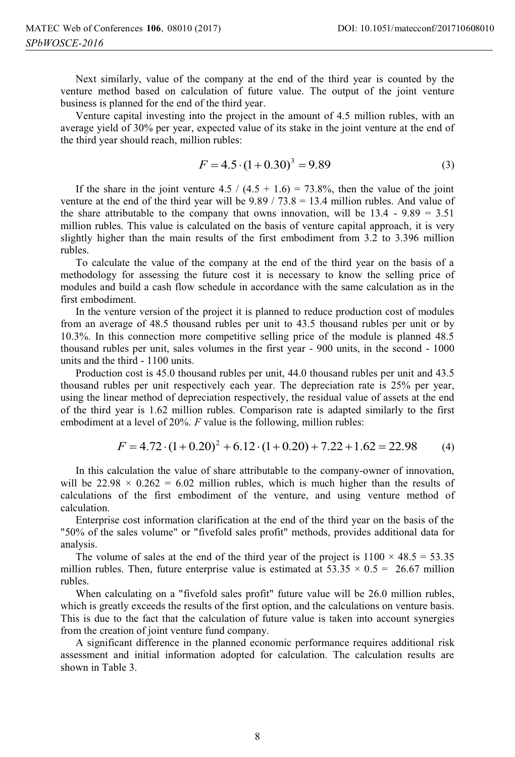Next similarly, value of the company at the end of the third year is counted by the venture method based on calculation of future value. The output of the joint venture business is planned for the end of the third year.

Venture capital investing into the project in the amount of 4.5 million rubles, with an average yield of 30% per year, expected value of its stake in the joint venture at the end of the third year should reach, million rubles:

$$
F = 4.5 \cdot (1 + 0.30)^3 = 9.89\tag{3}
$$

If the share in the joint venture  $4.5 / (4.5 + 1.6) = 73.8\%$ , then the value of the joint venture at the end of the third year will be  $9.89 / 73.8 = 13.4$  million rubles. And value of the share attributable to the company that owns innovation, will be  $13.4 - 9.89 = 3.51$ million rubles. This value is calculated on the basis of venture capital approach, it is very slightly higher than the main results of the first embodiment from 3.2 to 3.396 million rubles.

To calculate the value of the company at the end of the third year on the basis of a methodology for assessing the future cost it is necessary to know the selling price of modules and build a cash flow schedule in accordance with the same calculation as in the first embodiment.

In the venture version of the project it is planned to reduce production cost of modules from an average of 48.5 thousand rubles per unit to 43.5 thousand rubles per unit or by 10.3%. In this connection more competitive selling price of the module is planned 48.5 thousand rubles per unit, sales volumes in the first year - 900 units, in the second - 1000 units and the third - 1100 units.

Production cost is 45.0 thousand rubles per unit, 44.0 thousand rubles per unit and 43.5 thousand rubles per unit respectively each year. The depreciation rate is 25% per year, using the linear method of depreciation respectively, the residual value of assets at the end of the third year is 1.62 million rubles. Comparison rate is adapted similarly to the first embodiment at a level of 20%. *F* value is the following, million rubles:

$$
F = 4.72 \cdot (1 + 0.20)^2 + 6.12 \cdot (1 + 0.20) + 7.22 + 1.62 = 22.98
$$
 (4)

In this calculation the value of share attributable to the company-owner of innovation, will be  $22.98 \times 0.262 = 6.02$  million rubles, which is much higher than the results of calculations of the first embodiment of the venture, and using venture method of calculation.

Enterprise cost information clarification at the end of the third year on the basis of the "50% of the sales volume" or "fivefold sales profit" methods, provides additional data for analysis.

The volume of sales at the end of the third year of the project is  $1100 \times 48.5 = 53.35$ million rubles. Then, future enterprise value is estimated at  $53.35 \times 0.5 = 26.67$  million rubles.

When calculating on a "fivefold sales profit" future value will be 26.0 million rubles, which is greatly exceeds the results of the first option, and the calculations on venture basis. This is due to the fact that the calculation of future value is taken into account synergies from the creation of joint venture fund company.

A significant difference in the planned economic performance requires additional risk assessment and initial information adopted for calculation. The calculation results are shown in Table 3.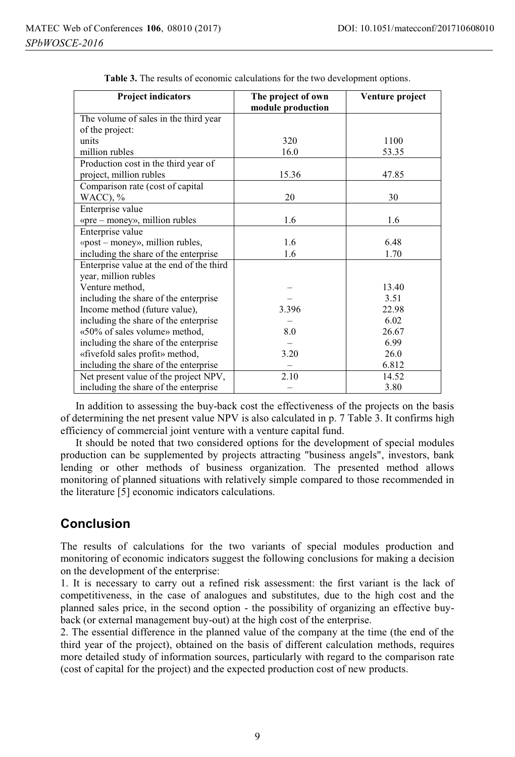| <b>Project indicators</b>                                  | The project of own<br>module production | Venture project |
|------------------------------------------------------------|-----------------------------------------|-----------------|
| The volume of sales in the third year                      |                                         |                 |
| of the project:                                            |                                         |                 |
| units                                                      | 320                                     | 1100            |
| million rubles                                             | 16.0                                    | 53.35           |
| Production cost in the third year of                       |                                         |                 |
| project, million rubles                                    | 15.36                                   | 47.85           |
| Comparison rate (cost of capital                           |                                         |                 |
| WACC), %                                                   | 20                                      | 30              |
| Enterprise value                                           |                                         |                 |
| $\langle \text{pre}-\text{money} \rangle$ , million rubles | 1.6                                     | 1.6             |
| Enterprise value                                           |                                         |                 |
| «post – money», million rubles,                            | 1.6                                     | 6.48            |
| including the share of the enterprise                      | 1.6                                     | 1.70            |
| Enterprise value at the end of the third                   |                                         |                 |
| year, million rubles                                       |                                         |                 |
| Venture method,                                            |                                         | 13.40           |
| including the share of the enterprise                      |                                         | 3.51            |
| Income method (future value),                              | 3.396                                   | 22.98           |
| including the share of the enterprise                      |                                         | 6.02            |
| «50% of sales volume» method,                              | 8.0                                     | 26.67           |
| including the share of the enterprise                      |                                         | 6.99            |
| «fivefold sales profit» method,                            | 3.20                                    | 26.0            |
| including the share of the enterprise                      |                                         | 6.812           |
| Net present value of the project NPV,                      | 2.10                                    | 14.52           |
| including the share of the enterprise                      |                                         | 3.80            |

**Table 3.** The results of economic calculations for the two development options.

In addition to assessing the buy-back cost the effectiveness of the projects on the basis of determining the net present value NPV is also calculated in p. 7 Table 3. It confirms high efficiency of commercial joint venture with a venture capital fund.

It should be noted that two considered options for the development of special modules production can be supplemented by projects attracting "business angels", investors, bank lending or other methods of business organization. The presented method allows monitoring of planned situations with relatively simple compared to those recommended in the literature [5] economic indicators calculations.

## **Conclusion**

The results of calculations for the two variants of special modules production and monitoring of economic indicators suggest the following conclusions for making a decision on the development of the enterprise:

1. It is necessary to carry out a refined risk assessment: the first variant is the lack of competitiveness, in the case of analogues and substitutes, due to the high cost and the planned sales price, in the second option - the possibility of organizing an effective buyback (or external management buy-out) at the high cost of the enterprise.

2. The essential difference in the planned value of the company at the time (the end of the third year of the project), obtained on the basis of different calculation methods, requires more detailed study of information sources, particularly with regard to the comparison rate (cost of capital for the project) and the expected production cost of new products.